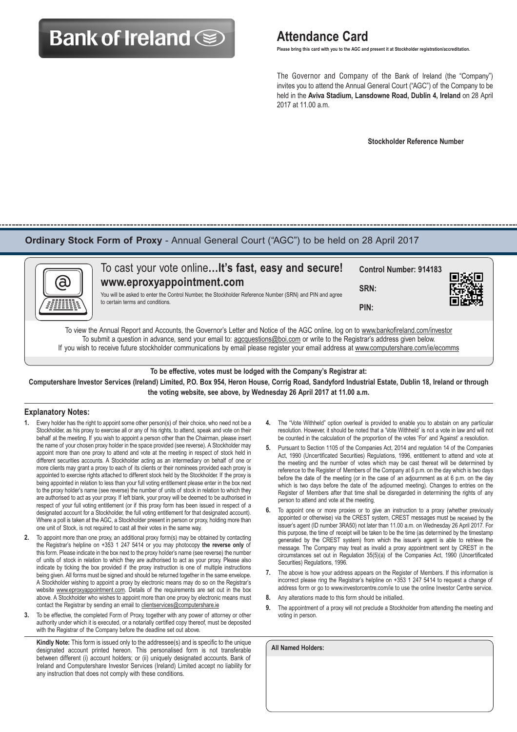# **Bank of Ireland Solution Attendance Card**

 **Please bring this card with you to the AGC and present it at Stockholder registration/accreditation.**

 The Governor and Company of the Bank of Ireland (the "Company") invites you to attend the Annual General Court ("AGC") of the Company to be held in the **Aviva Stadium, Lansdowne Road, Dublin 4, Ireland** on 28 April 2017 at 11.00 a.m.

 **Stockholder Reference Number**

### **Ordinary Stock Form of Proxy** - Annual General Court ("AGC") to be held on 28 April 2017

|   | To cast your vote online It's fast, easy and secure!                                                                                 | <b>Control Number: 914183</b> | 回演画 |
|---|--------------------------------------------------------------------------------------------------------------------------------------|-------------------------------|-----|
| බ | www.eproxyappointment.com<br>You will be asked to enter the Control Number, the Stockholder Reference Number (SRN) and PIN and agree | SRN:                          |     |
|   | to certain terms and conditions.                                                                                                     | PIN:                          |     |

To view the Annual Report and Accounts, the Governor's Letter and Notice of the AGC online, log on to www.bankofireland.com/investor To submit a question in advance, send your email to: agcquestions@boi.com or write to the Registrar's address given below. If you wish to receive future stockholder communications by email please register your email address at www.computershare.com/ie/ecomms

**To be effective, votes must be lodged with the Company's Registrar at:**

**Computershare Investor Services (Ireland) Limited, P.O. Box 954, Heron House, Corrig Road, Sandyford Industrial Estate, Dublin 18, Ireland or through the voting website, see above, by Wednesday 26 April 2017 at 11.00 a.m.**

#### **Explanatory Notes:**

- **1.** Every holder has the right to appoint some other person(s) of their choice, who need not be a Stockholder, as his proxy to exercise all or any of his rights, to attend, speak and vote on their behalf at the meeting. If you wish to appoint a person other than the Chairman, please insert the name of your chosen proxy holder in the space provided (see reverse). A Stockholder may appoint more than one proxy to attend and vote at the meeting in respect of stock held in different securities accounts. A Stockholder acting as an intermediary on behalf of one or more clients may grant a proxy to each of its clients or their nominees provided each proxy is appointed to exercise rights attached to different stock held by the Stockholder. If the proxy is being appointed in relation to less than your full voting entitlement please enter in the box next to the proxy holder's name (see reverse) the number of units of stock in relation to which they are authorised to act as your proxy. If left blank, your proxy will be deemed to be authorised in respect of your full voting entitlement (or if this proxy form has been issued in respect of a designated account for a Stockholder, the full voting entitlement for that designated account). Where a poll is taken at the AGC, a Stockholder present in person or proxy, holding more than one unit of Stock, is not required to cast all their votes in the same way.
- **2.** To appoint more than one proxy, an additional proxy form(s) may be obtained by contacting the Registrar's helpline on +353 1 247 5414 or you may photocopy **the reverse only** of this form. Please indicate in the box next to the proxy holder's name (see reverse) the number of units of stock in relation to which they are authorised to act as your proxy. Please also indicate by ticking the box provided if the proxy instruction is one of multiple instructions being given. All forms must be signed and should be returned together in the same envelope. A Stockholder wishing to appoint a proxy by electronic means may do so on the Registrar's website www.eproxyappointment.com. Details of the requirements are set out in the box above. A Stockholder who wishes to appoint more than one proxy by electronic means must contact the Registrar by sending an email to clientservices@computershare.ie
- **3.** To be effective, the completed Form of Proxy, together with any power of attorney or other authority under which it is executed, or a notarially certified copy thereof, must be deposited with the Registrar of the Company before the deadline set out above.

**Kindly Note:** This form is issued only to the addressee(s) and is specific to the unique designated account printed hereon. This personalised form is not transferable between different (i) account holders; or (ii) uniquely designated accounts. Bank of Ireland and Computershare Investor Services (Ireland) Limited accept no liability for any instruction that does not comply with these conditions.

- **4.** The "Vote Withheld" option overleaf is provided to enable you to abstain on any particular resolution. However, it should be noted that a 'Vote Withheld' is not a vote in law and will not be counted in the calculation of the proportion of the votes 'For' and 'Against' a resolution.
- **5.** Pursuant to Section 1105 of the Companies Act, 2014 and regulation 14 of the Companies Act, 1990 (Uncertificated Securities) Regulations, 1996, entitlement to attend and vote at the meeting and the number of votes which may be cast thereat will be determined by reference to the Register of Members of the Company at 6 p.m. on the day which is two days before the date of the meeting (or in the case of an adjournment as at 6 p.m. on the day which is two days before the date of the adjourned meeting). Changes to entries on the Register of Members after that time shall be disregarded in determining the rights of any person to attend and vote at the meeting.
- **6.** To appoint one or more proxies or to give an instruction to a proxy (whether previously appointed or otherwise) via the CREST system, CREST messages must be received by the issuer's agent (ID number 3RA50) not later than 11.00 a.m. on Wednesday 26 April 2017. For this purpose, the time of receipt will be taken to be the time (as determined by the timestamp generated by the CREST system) from which the issuer's agent is able to retrieve the message. The Company may treat as invalid a proxy appointment sent by CREST in the circumstances set out in Regulation 35(5)(a) of the Companies Act, 1990 (Uncertificated Securities) Regulations, 1996.
- **7.** The above is how your address appears on the Register of Members. If this information is incorrect please ring the Registrar's helpline on +353 1 247 5414 to request a change of address form or go to www.investorcentre.com/ie to use the online Investor Centre service.
- **8.** Any alterations made to this form should be initialled.
- **9.** The appointment of a proxy will not preclude a Stockholder from attending the meeting and voting in person.

| <b>All Named Holders:</b> |  |  |  |
|---------------------------|--|--|--|
|                           |  |  |  |
|                           |  |  |  |
|                           |  |  |  |